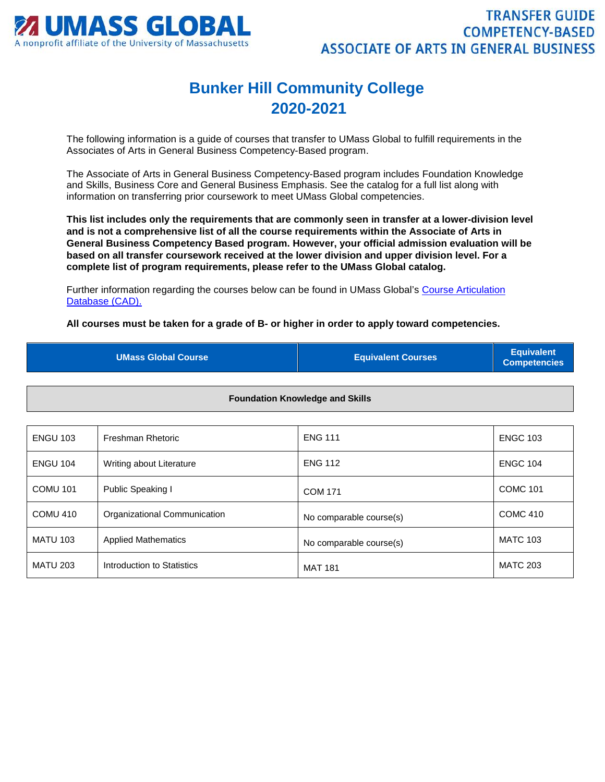

## **Bunker Hill Community College 2020-2021**

The following information is a guide of courses that transfer to UMass Global to fulfill requirements in the Associates of Arts in General Business Competency-Based program.

The Associate of Arts in General Business Competency-Based program includes Foundation Knowledge and Skills, Business Core and General Business Emphasis. See the catalog for a full list along with information on transferring prior coursework to meet UMass Global competencies.

**This list includes only the requirements that are commonly seen in transfer at a lower-division level and is not a comprehensive list of all the course requirements within the Associate of Arts in General Business Competency Based program. However, your official admission evaluation will be based on all transfer coursework received at the lower division and upper division level. For a complete list of program requirements, please refer to the UMass Global catalog.**

Further information regarding the courses below can be found in UMass Global's [Course Articulation](http://services.umassglobal.edu/studentservices/TransferCredit/)  [Database \(CAD\).](http://services.umassglobal.edu/studentservices/TransferCredit/) 

**All courses must be taken for a grade of B- or higher in order to apply toward competencies.** 

| <b>UMass Global Course</b> | <b>Equivalent Courses</b> | <b>Equivalent</b><br><b>Competencies</b> |
|----------------------------|---------------------------|------------------------------------------|
|                            |                           |                                          |

**Foundation Knowledge and Skills**

| <b>ENGU 103</b> | Freshman Rhetoric            | <b>ENG 111</b>          | <b>ENGC 103</b> |
|-----------------|------------------------------|-------------------------|-----------------|
| <b>ENGU 104</b> | Writing about Literature     | <b>ENG 112</b>          | <b>ENGC 104</b> |
| <b>COMU 101</b> | Public Speaking I            | <b>COM 171</b>          | <b>COMC 101</b> |
| <b>COMU 410</b> | Organizational Communication | No comparable course(s) | <b>COMC 410</b> |
| <b>MATU 103</b> | <b>Applied Mathematics</b>   | No comparable course(s) | <b>MATC 103</b> |
| <b>MATU 203</b> | Introduction to Statistics   | <b>MAT 181</b>          | <b>MATC 203</b> |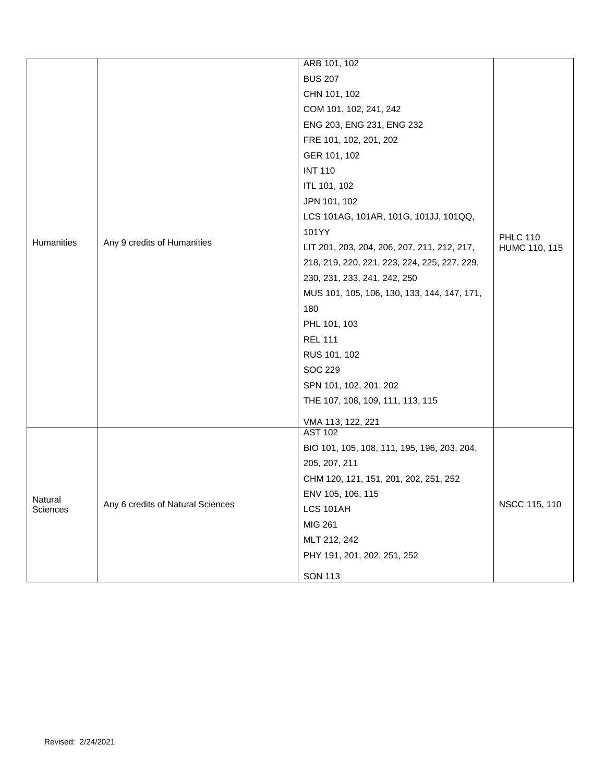|                     |                                   | ARB 101, 102                                 |                 |
|---------------------|-----------------------------------|----------------------------------------------|-----------------|
|                     |                                   | <b>BUS 207</b>                               |                 |
|                     |                                   | CHN 101, 102                                 |                 |
|                     |                                   | COM 101, 102, 241, 242                       |                 |
|                     |                                   | ENG 203, ENG 231, ENG 232                    |                 |
|                     |                                   | FRE 101, 102, 201, 202                       |                 |
|                     |                                   | GER 101, 102                                 |                 |
|                     |                                   | <b>INT 110</b>                               |                 |
|                     |                                   | ITL 101, 102                                 |                 |
|                     |                                   | JPN 101, 102                                 |                 |
|                     |                                   | LCS 101AG, 101AR, 101G, 101JJ, 101QQ,        |                 |
|                     |                                   | 101YY                                        | <b>PHLC 110</b> |
| Humanities          | Any 9 credits of Humanities       | LIT 201, 203, 204, 206, 207, 211, 212, 217,  | HUMC 110, 115   |
|                     |                                   | 218, 219, 220, 221, 223, 224, 225, 227, 229, |                 |
|                     |                                   | 230, 231, 233, 241, 242, 250                 |                 |
|                     |                                   | MUS 101, 105, 106, 130, 133, 144, 147, 171,  |                 |
|                     |                                   | 180                                          |                 |
|                     |                                   | PHL 101, 103                                 |                 |
|                     |                                   | <b>REL 111</b>                               |                 |
|                     |                                   | RUS 101, 102                                 |                 |
|                     |                                   | <b>SOC 229</b>                               |                 |
|                     |                                   | SPN 101, 102, 201, 202                       |                 |
|                     |                                   | THE 107, 108, 109, 111, 113, 115             |                 |
|                     |                                   | VMA 113, 122, 221                            |                 |
|                     |                                   | <b>AST 102</b>                               |                 |
|                     | Any 6 credits of Natural Sciences | BIO 101, 105, 108, 111, 195, 196, 203, 204,  |                 |
|                     |                                   | 205, 207, 211                                |                 |
| Natural<br>Sciences |                                   | CHM 120, 121, 151, 201, 202, 251, 252        |                 |
|                     |                                   | ENV 105, 106, 115                            |                 |
|                     |                                   | LCS 101AH                                    | NSCC 115, 110   |
|                     |                                   | MIG 261                                      |                 |
|                     |                                   | MLT 212, 242                                 |                 |
|                     |                                   | PHY 191, 201, 202, 251, 252                  |                 |
|                     |                                   | <b>SON 113</b>                               |                 |
|                     |                                   |                                              |                 |